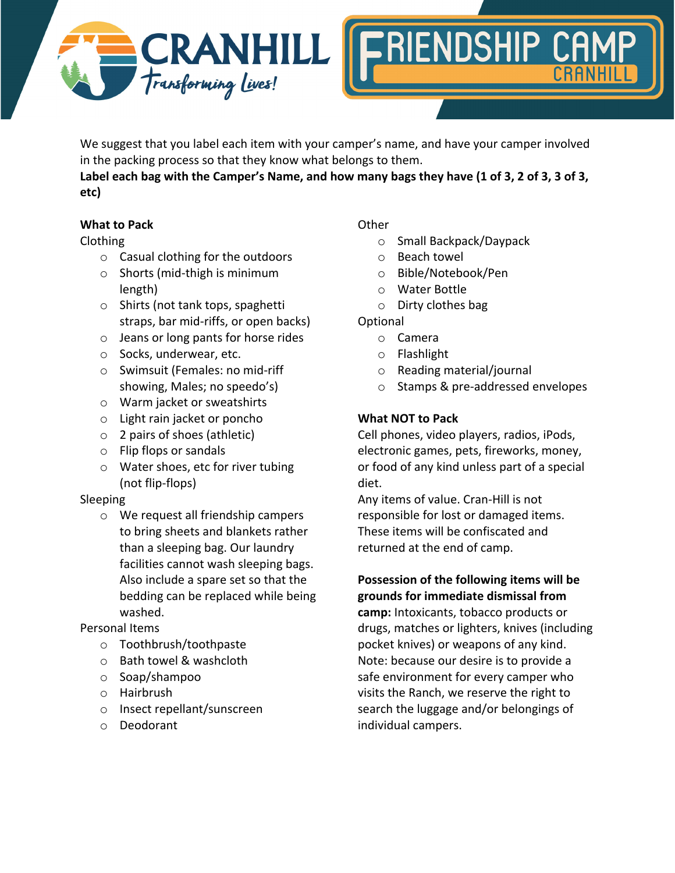



We suggest that you label each item with your camper's name, and have your camper involved in the packing process so that they know what belongs to them.

**Label each bag with the Camper's Name, and how many bags they have (1 of 3, 2 of 3, 3 of 3, etc)**

# **What to Pack**

### Clothing

- o Casual clothing for the outdoors
- o Shorts (mid-thigh is minimum length)
- o Shirts (not tank tops, spaghetti straps, bar mid-riffs, or open backs)
- o Jeans or long pants for horse rides
- o Socks, underwear, etc.
- o Swimsuit (Females: no mid-riff showing, Males; no speedo's)
- o Warm jacket or sweatshirts
- o Light rain jacket or poncho
- o 2 pairs of shoes (athletic)
- o Flip flops or sandals
- o Water shoes, etc for river tubing (not flip-flops)

### Sleeping

o We request all friendship campers to bring sheets and blankets rather than a sleeping bag. Our laundry facilities cannot wash sleeping bags. Also include a spare set so that the bedding can be replaced while being washed.

# Personal Items

- o Toothbrush/toothpaste
- o Bath towel & washcloth
- o Soap/shampoo
- o Hairbrush
- o Insect repellant/sunscreen
- o Deodorant

## **Other**

- o Small Backpack/Daypack
- o Beach towel
- o Bible/Notebook/Pen
- o Water Bottle
- o Dirty clothes bag

## Optional

- o Camera
- o Flashlight
- o Reading material/journal
- o Stamps & pre-addressed envelopes

# **What NOT to Pack**

Cell phones, video players, radios, iPods, electronic games, pets, fireworks, money, or food of any kind unless part of a special diet.

Any items of value. Cran-Hill is not responsible for lost or damaged items. These items will be confiscated and returned at the end of camp.

## **Possession of the following items will be grounds for immediate dismissal from**

**camp:** Intoxicants, tobacco products or drugs, matches or lighters, knives (including pocket knives) or weapons of any kind. Note: because our desire is to provide a safe environment for every camper who visits the Ranch, we reserve the right to search the luggage and/or belongings of individual campers.